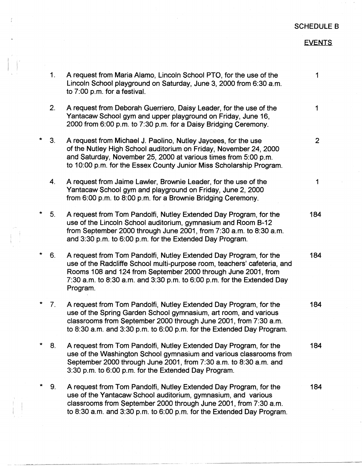## SCHEDULE B

## EVENTS

|         | 1.             | A request from Maria Alamo, Lincoln School PTO, for the use of the<br>Lincoln School playground on Saturday, June 3, 2000 from 6:30 a.m.<br>to 7:00 p.m. for a festival.                                                                                                                             | 1              |
|---------|----------------|------------------------------------------------------------------------------------------------------------------------------------------------------------------------------------------------------------------------------------------------------------------------------------------------------|----------------|
|         | 2.             | A request from Deborah Guerriero, Daisy Leader, for the use of the<br>Yantacaw School gym and upper playground on Friday, June 16,<br>2000 from 6:00 p.m. to 7:30 p.m. for a Daisy Bridging Ceremony.                                                                                                | 1              |
| *       | 3 <sub>1</sub> | A request from Michael J. Paolino, Nutley Jaycees, for the use<br>of the Nutley High School auditorium on Friday, November 24, 2000<br>and Saturday, November 25, 2000 at various times from 5:00 p.m.<br>to 10:00 p.m. for the Essex County Junior Miss Scholarship Program.                        | $\overline{2}$ |
|         | 4.             | A request from Jaime Lawler, Brownie Leader, for the use of the<br>Yantacaw School gym and playground on Friday, June 2, 2000<br>from 6:00 p.m. to 8:00 p.m. for a Brownie Bridging Ceremony.                                                                                                        | 1              |
| *       | 5 <sub>1</sub> | A request from Tom Pandolfi, Nutley Extended Day Program, for the<br>use of the Lincoln School auditorium, gymnasium and Room B-12<br>from September 2000 through June 2001, from 7:30 a.m. to 8:30 a.m.<br>and 3:30 p.m. to 6:00 p.m. for the Extended Day Program.                                 | 184            |
| *       | 6.             | A request from Tom Pandolfi, Nutley Extended Day Program, for the<br>use of the Radcliffe School multi-purpose room, teachers' cafeteria, and<br>Rooms 108 and 124 from September 2000 through June 2001, from<br>7:30 a.m. to 8:30 a.m. and 3:30 p.m. to 6:00 p.m. for the Extended Day<br>Program. | 184            |
| *       | 7.             | A request from Tom Pandolfi, Nutley Extended Day Program, for the<br>use of the Spring Garden School gymnasium, art room, and various<br>classrooms from September 2000 through June 2001, from 7:30 a.m.<br>to 8:30 a.m. and 3:30 p.m. to 6:00 p.m. for the Extended Day Program.                   | 184            |
| $\star$ | 8.             | A request from Tom Pandolfi, Nutley Extended Day Program, for the<br>use of the Washington School gymnasium and various classrooms from<br>September 2000 through June 2001, from 7:30 a.m. to 8:30 a.m. and<br>3:30 p.m. to 6:00 p.m. for the Extended Day Program.                                 | 184            |
|         | 9.             | A request from Tom Pandolfi, Nutley Extended Day Program, for the<br>use of the Yantacaw School auditorium, gymnasium, and various<br>classrooms from September 2000 through June 2001, from 7:30 a.m.<br>to 8:30 a.m. and 3:30 p.m. to 6:00 p.m. for the Extended Day Program.                      | 184            |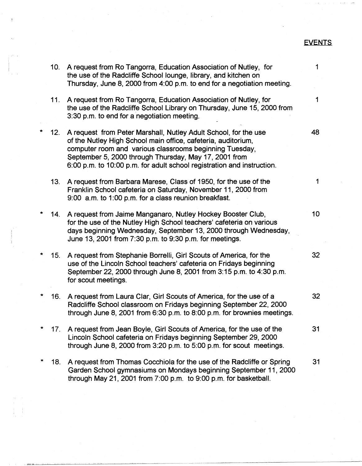## EVENTS

|         | 10. | A request from Ro Tangorra, Education Association of Nutley, for<br>the use of the Radcliffe School lounge, library, and kitchen on<br>Thursday, June 8, 2000 from 4:00 p.m. to end for a negotiation meeting.                                                                                                                 | 1  |
|---------|-----|--------------------------------------------------------------------------------------------------------------------------------------------------------------------------------------------------------------------------------------------------------------------------------------------------------------------------------|----|
|         | 11. | A request from Ro Tangorra, Education Association of Nutley, for<br>the use of the Radcliffe School Library on Thursday, June 15, 2000 from<br>3:30 p.m. to end for a negotiation meeting.                                                                                                                                     | 1  |
|         | 12. | A request from Peter Marshall, Nutley Adult School, for the use<br>of the Nutley High School main office, cafeteria, auditorium,<br>computer room and various classrooms beginning Tuesday,<br>September 5, 2000 through Thursday, May 17, 2001 from<br>6:00 p.m. to 10:00 p.m. for adult school registration and instruction. | 48 |
|         | 13. | A request from Barbara Marese, Class of 1950, for the use of the<br>Franklin School cafeteria on Saturday, November 11, 2000 from<br>9:00 a.m. to 1:00 p.m. for a class reunion breakfast.                                                                                                                                     | 1  |
| $\star$ | 14. | A request from Jaime Manganaro, Nutley Hockey Booster Club,<br>for the use of the Nutley High School teachers' cafeteria on various<br>days beginning Wednesday, September 13, 2000 through Wednesday,<br>June 13, 2001 from 7:30 p.m. to 9:30 p.m. for meetings.                                                              | 10 |
| *       | 15. | A request from Stephanie Borrelli, Girl Scouts of America, for the<br>use of the Lincoln School teachers' cafeteria on Fridays beginning<br>September 22, 2000 through June 8, 2001 from 3:15 p.m. to 4:30 p.m.<br>for scout meetings.                                                                                         | 32 |
|         | 16. | A request from Laura Clar, Girl Scouts of America, for the use of a<br>Radcliffe School classroom on Fridays beginning September 22, 2000<br>through June 8, 2001 from 6:30 p.m. to 8:00 p.m. for brownies meetings.                                                                                                           | 32 |
|         | 17. | A request from Jean Boyle, Girl Scouts of America, for the use of the<br>Lincoln School cafeteria on Fridays beginning September 29, 2000<br>through June 8, 2000 from 3:20 p.m. to 5:00 p.m. for scout meetings.                                                                                                              | 31 |
| $\star$ | 18. | A request from Thomas Cocchiola for the use of the Radcliffe or Spring<br>Garden School gymnasiums on Mondays beginning September 11, 2000<br>through May 21, 2001 from 7:00 p.m. to 9:00 p.m. for basketball.                                                                                                                 | 31 |